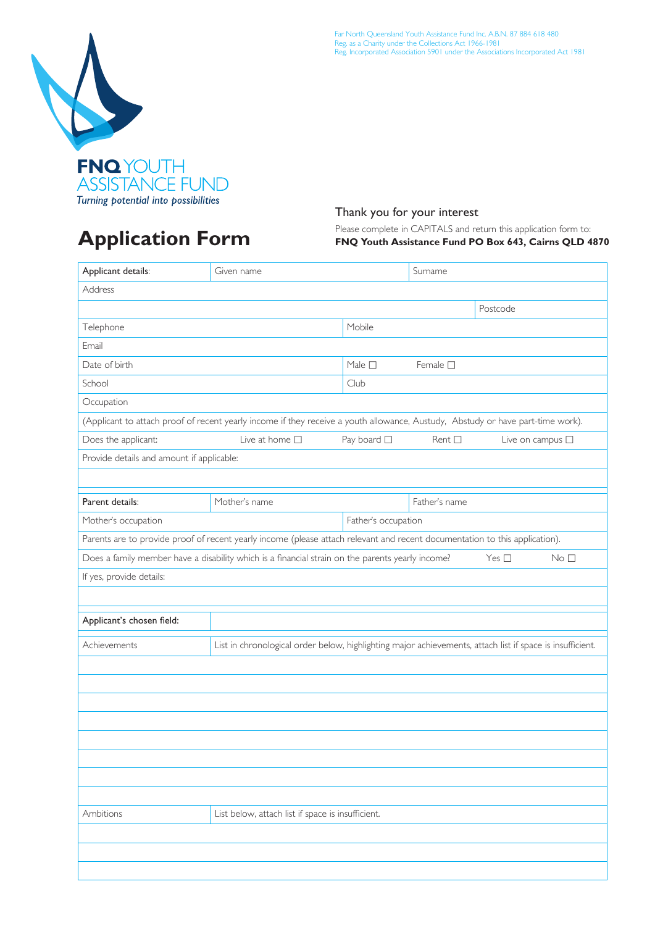

## **Application Form**

Far North Queensland Youth Assistance Fund Inc. A.B.N. 87 884 618 480 Reg. as a Charity under the Collections Act 1966-1981 Reg. Incorporated Association 5901 under the Associations Incorporated Act 1981

#### Thank you for your interest

Please complete in CAPITALS and return this application form to:  **FNQ Youth Assistance Fund PO Box 643, Cairns QLD 4870**

| Given name                                |                | Surname                                                                  |                                                                                                                                                                                                                                                                                                                                                                                                                                                                                                        |  |  |  |
|-------------------------------------------|----------------|--------------------------------------------------------------------------|--------------------------------------------------------------------------------------------------------------------------------------------------------------------------------------------------------------------------------------------------------------------------------------------------------------------------------------------------------------------------------------------------------------------------------------------------------------------------------------------------------|--|--|--|
| Address                                   |                |                                                                          |                                                                                                                                                                                                                                                                                                                                                                                                                                                                                                        |  |  |  |
|                                           |                |                                                                          | Postcode                                                                                                                                                                                                                                                                                                                                                                                                                                                                                               |  |  |  |
|                                           | Mobile         |                                                                          |                                                                                                                                                                                                                                                                                                                                                                                                                                                                                                        |  |  |  |
|                                           |                |                                                                          |                                                                                                                                                                                                                                                                                                                                                                                                                                                                                                        |  |  |  |
|                                           | Male $\square$ | Female $\square$                                                         |                                                                                                                                                                                                                                                                                                                                                                                                                                                                                                        |  |  |  |
|                                           | Club           |                                                                          |                                                                                                                                                                                                                                                                                                                                                                                                                                                                                                        |  |  |  |
|                                           |                |                                                                          |                                                                                                                                                                                                                                                                                                                                                                                                                                                                                                        |  |  |  |
|                                           |                |                                                                          |                                                                                                                                                                                                                                                                                                                                                                                                                                                                                                        |  |  |  |
| Live at home $\square$                    |                | Rent $\square$                                                           | Live on campus $\square$                                                                                                                                                                                                                                                                                                                                                                                                                                                                               |  |  |  |
| Provide details and amount if applicable: |                |                                                                          |                                                                                                                                                                                                                                                                                                                                                                                                                                                                                                        |  |  |  |
|                                           |                |                                                                          |                                                                                                                                                                                                                                                                                                                                                                                                                                                                                                        |  |  |  |
| Mother's name                             |                | Father's name                                                            |                                                                                                                                                                                                                                                                                                                                                                                                                                                                                                        |  |  |  |
|                                           |                |                                                                          |                                                                                                                                                                                                                                                                                                                                                                                                                                                                                                        |  |  |  |
|                                           |                |                                                                          |                                                                                                                                                                                                                                                                                                                                                                                                                                                                                                        |  |  |  |
|                                           |                |                                                                          | Yes $\square$<br>No <sub>1</sub>                                                                                                                                                                                                                                                                                                                                                                                                                                                                       |  |  |  |
|                                           |                |                                                                          |                                                                                                                                                                                                                                                                                                                                                                                                                                                                                                        |  |  |  |
|                                           |                |                                                                          |                                                                                                                                                                                                                                                                                                                                                                                                                                                                                                        |  |  |  |
|                                           |                |                                                                          |                                                                                                                                                                                                                                                                                                                                                                                                                                                                                                        |  |  |  |
|                                           |                |                                                                          |                                                                                                                                                                                                                                                                                                                                                                                                                                                                                                        |  |  |  |
|                                           |                |                                                                          |                                                                                                                                                                                                                                                                                                                                                                                                                                                                                                        |  |  |  |
|                                           |                |                                                                          |                                                                                                                                                                                                                                                                                                                                                                                                                                                                                                        |  |  |  |
|                                           |                |                                                                          |                                                                                                                                                                                                                                                                                                                                                                                                                                                                                                        |  |  |  |
|                                           |                |                                                                          |                                                                                                                                                                                                                                                                                                                                                                                                                                                                                                        |  |  |  |
|                                           |                |                                                                          |                                                                                                                                                                                                                                                                                                                                                                                                                                                                                                        |  |  |  |
|                                           |                |                                                                          |                                                                                                                                                                                                                                                                                                                                                                                                                                                                                                        |  |  |  |
|                                           |                |                                                                          |                                                                                                                                                                                                                                                                                                                                                                                                                                                                                                        |  |  |  |
|                                           |                |                                                                          |                                                                                                                                                                                                                                                                                                                                                                                                                                                                                                        |  |  |  |
|                                           |                |                                                                          |                                                                                                                                                                                                                                                                                                                                                                                                                                                                                                        |  |  |  |
|                                           |                |                                                                          |                                                                                                                                                                                                                                                                                                                                                                                                                                                                                                        |  |  |  |
|                                           |                |                                                                          |                                                                                                                                                                                                                                                                                                                                                                                                                                                                                                        |  |  |  |
|                                           |                |                                                                          |                                                                                                                                                                                                                                                                                                                                                                                                                                                                                                        |  |  |  |
|                                           |                | Pay board $\square$<br>List below, attach list if space is insufficient. | (Applicant to attach proof of recent yearly income if they receive a youth allowance, Austudy, Abstudy or have part-time work).<br>Father's occupation<br>Parents are to provide proof of recent yearly income (please attach relevant and recent documentation to this application).<br>Does a family member have a disability which is a financial strain on the parents yearly income?<br>List in chronological order below, highlighting major achievements, attach list if space is insufficient. |  |  |  |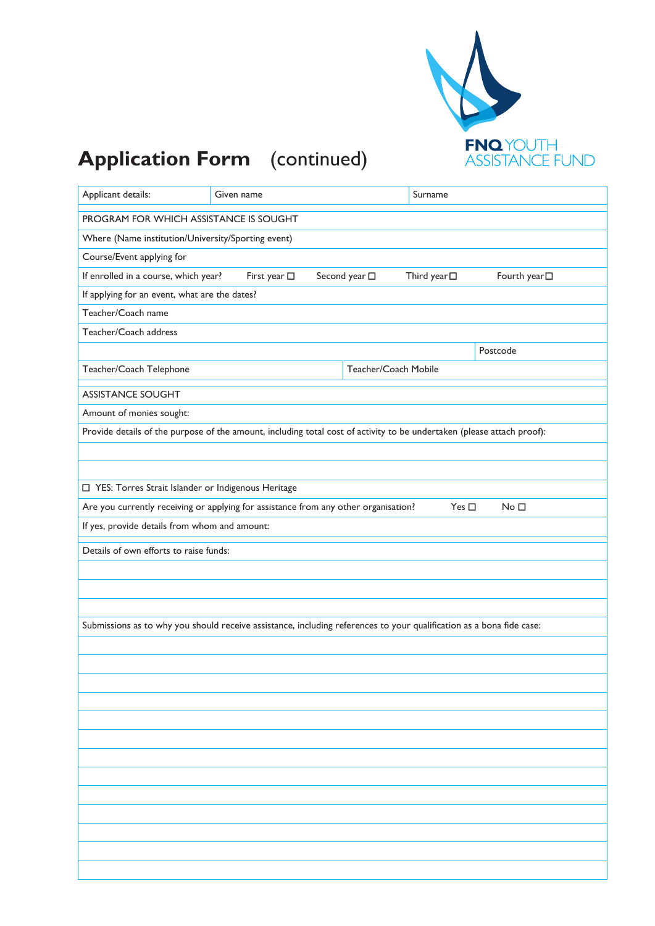

# **Application Form** (continued)

| Applicant details:                                   | Given name                                                                                                             |                       | Surname              |                            |  |  |  |
|------------------------------------------------------|------------------------------------------------------------------------------------------------------------------------|-----------------------|----------------------|----------------------------|--|--|--|
| PROGRAM FOR WHICH ASSISTANCE IS SOUGHT               |                                                                                                                        |                       |                      |                            |  |  |  |
| Where (Name institution/University/Sporting event)   |                                                                                                                        |                       |                      |                            |  |  |  |
| Course/Event applying for                            |                                                                                                                        |                       |                      |                            |  |  |  |
| If enrolled in a course, which year?                 | First year $\square$                                                                                                   | Second year $\square$ | Third year $\square$ | Fourth year <sup>[1]</sup> |  |  |  |
| If applying for an event, what are the dates?        |                                                                                                                        |                       |                      |                            |  |  |  |
| Teacher/Coach name                                   |                                                                                                                        |                       |                      |                            |  |  |  |
| Teacher/Coach address                                |                                                                                                                        |                       |                      |                            |  |  |  |
|                                                      |                                                                                                                        |                       |                      | Postcode                   |  |  |  |
| Teacher/Coach Telephone                              | Teacher/Coach Mobile                                                                                                   |                       |                      |                            |  |  |  |
| <b>ASSISTANCE SOUGHT</b>                             |                                                                                                                        |                       |                      |                            |  |  |  |
| Amount of monies sought:                             |                                                                                                                        |                       |                      |                            |  |  |  |
|                                                      | Provide details of the purpose of the amount, including total cost of activity to be undertaken (please attach proof): |                       |                      |                            |  |  |  |
|                                                      |                                                                                                                        |                       |                      |                            |  |  |  |
|                                                      |                                                                                                                        |                       |                      |                            |  |  |  |
| □ YES: Torres Strait Islander or Indigenous Heritage |                                                                                                                        |                       |                      |                            |  |  |  |
|                                                      | Are you currently receiving or applying for assistance from any other organisation?                                    |                       | Yes $\square$        | No <sub>1</sub>            |  |  |  |
| If yes, provide details from whom and amount:        |                                                                                                                        |                       |                      |                            |  |  |  |
| Details of own efforts to raise funds:               |                                                                                                                        |                       |                      |                            |  |  |  |
|                                                      |                                                                                                                        |                       |                      |                            |  |  |  |
|                                                      |                                                                                                                        |                       |                      |                            |  |  |  |
|                                                      |                                                                                                                        |                       |                      |                            |  |  |  |
|                                                      | Submissions as to why you should receive assistance, including references to your qualification as a bona fide case:   |                       |                      |                            |  |  |  |
|                                                      |                                                                                                                        |                       |                      |                            |  |  |  |
|                                                      |                                                                                                                        |                       |                      |                            |  |  |  |
|                                                      |                                                                                                                        |                       |                      |                            |  |  |  |
|                                                      |                                                                                                                        |                       |                      |                            |  |  |  |
|                                                      |                                                                                                                        |                       |                      |                            |  |  |  |
|                                                      |                                                                                                                        |                       |                      |                            |  |  |  |
|                                                      |                                                                                                                        |                       |                      |                            |  |  |  |
|                                                      |                                                                                                                        |                       |                      |                            |  |  |  |
|                                                      |                                                                                                                        |                       |                      |                            |  |  |  |
|                                                      |                                                                                                                        |                       |                      |                            |  |  |  |
|                                                      |                                                                                                                        |                       |                      |                            |  |  |  |
|                                                      |                                                                                                                        |                       |                      |                            |  |  |  |
|                                                      |                                                                                                                        |                       |                      |                            |  |  |  |